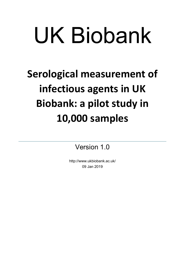# UK Biobank

# Serological measurement of infectious agents in UK Biobank: a pilot study in 10,000 samples

Version 1.0

http://www.ukbiobank.ac.uk/ 09 Jan 2019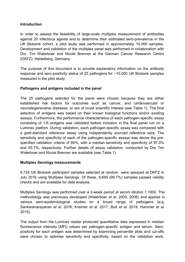## Introduction

In order to assess the feasibility of large-scale multiplex measurement of antibodies against 20 infectious agents and to determine their estimated sero-prevalence in the UK Biobank cohort, a pilot study was performed in approximately 10,000 samples. Development and validation of the multiplex panel was performed in collaboration with Drs. Tim Waterboer and Nicole Brenner at the German Cancer Research Centre (DKFZ), Heidelberg, Germany.

The purpose of this document is to provide explanatory information on the antibody response and sero-positivity status of 20 pathogens for ~10,000 UK Biobank samples measured in the pilot study.

# Pathogens and antigens included in the panel

The 20 pathogens selected for the panel were chosen because they are either established risk factors for outcomes such as cancer, and cardiovascular or neurodegenerative diseases, or are of novel scientific interest (see Table 1). The final selection of antigens was based on their known biological functions and/or existing assays. Furthermore, the performance characteristics of each pathogen-specific assay consisting of 1-6 antigens was validated before inclusion in the final panel run on a Luminex platfom. During validation, each pathogen-specific assay was compared with a gold-standard reference assay using independently sourced reference sera. The sensitivity and specificity of each of the pathogen-specific assays was above the prespecified validation criteria of 85%, with a median sensitivity and specificity of 97.0% and 93.7%, respectively. Further details of assay validation, conducted by Drs Tim Waterboer and Nicole Brenner are available (see Table 1).

# Multiplex Serology measurements

9,724 UK Biobank participant samples selected at random were assayed at DKFZ in July 2016 using Multiplex Serology. Of these, 9,695 (99.7%) samples passed validity checks and are available for data analysis.

Multiplex Serology was performed over a 2-week period at serum dilution 1:1000. The methodology was previously developed (Waterboer et al. 2005, 2006) and applied in various sero-epidemiological studies on a broad range of pathogens (e.g. Sankaranarayanan et al. 2016, Kreimer et al. 2017, Butt et al. 2019, Hammer et al. 2015).

The output from the Luminex reader produced quantitative data expressed in median fluorescence intensity (MFI) values per pathogen-specific antigen and serum. Seropositivity for each antigen was determined by examining percentile plots and cut-offs were chosen to optimise sensitivity and specificity, based on the validation work.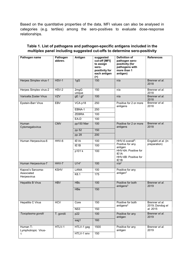Based on the quantitative properties of the data, MFI values can also be analysed in categories (e.g. tertiles) among the sero-positives to evaluate dose-response relationships.

| Pathogen name                                  | Pathogen<br>abbrev. | Antigen            | suggested<br>cut-off [MFI]<br>to assign<br>sero-<br>positivity for<br>each antigen<br>(>) | Definition of<br>pathogen sero-<br>positivity (for<br>pathogens with<br>more than 1<br>antigen)                                                       | <b>References</b>                             |
|------------------------------------------------|---------------------|--------------------|-------------------------------------------------------------------------------------------|-------------------------------------------------------------------------------------------------------------------------------------------------------|-----------------------------------------------|
| Herpes Simplex virus-1                         | $HSV-1$             | 1gG                | 150                                                                                       | n/a                                                                                                                                                   | Brenner et al.<br>2018                        |
| Herpes Simplex virus-2                         | $HSV-2$             | 2mgG<br>unique     | 150                                                                                       | n/a                                                                                                                                                   | Brenner et al.<br>2018                        |
| Varicella Zoster Virus                         | <b>VZV</b>          | gE/gI <sup>1</sup> | 100                                                                                       | n/a                                                                                                                                                   | Brenner et al.<br>2018                        |
| Epstein-Barr Virus                             | <b>EBV</b>          | VCA p18            | 250                                                                                       | Positive for 2 or more<br>antigens                                                                                                                    | Brenner et al.<br>2018                        |
|                                                |                     | EBNA-1             | $\overline{250}$                                                                          |                                                                                                                                                       |                                               |
|                                                |                     | <b>ZEBRA</b>       | 100                                                                                       |                                                                                                                                                       |                                               |
|                                                |                     | EA-D               | 100                                                                                       |                                                                                                                                                       |                                               |
| Human<br>Cytomegalovirus                       | <b>CMV</b>          | pp150 Nter         | 100                                                                                       | Positive for 2 or more<br>antigens                                                                                                                    | Brenner et al.<br>2018                        |
|                                                |                     | pp 52              | 150                                                                                       |                                                                                                                                                       |                                               |
|                                                |                     | pp 28              | 200                                                                                       |                                                                                                                                                       |                                               |
| Human Herpesvirus-6                            | HHV-6               | IE <sub>1</sub> A  | 100                                                                                       | HHV-6 overall <sup>2</sup> :<br>Positive for any<br>antigen<br>HHV-6A: Positive for<br>IE <sub>1</sub> A<br>HHV-6B: Positive for<br>IE <sub>1</sub> B | Engdahl et al. (in<br>preparation)            |
|                                                |                     | E1B                | 100                                                                                       |                                                                                                                                                       |                                               |
|                                                |                     | p101 k             | 100                                                                                       |                                                                                                                                                       |                                               |
| Human Herpesvirus-7                            | HHV-7               | U14 <sup>1</sup>   | 100                                                                                       | $n/a^2$                                                                                                                                               |                                               |
| Kaposi's Sarcoma-<br>Associated<br>Herpesvirus | <b>KSHV</b>         | LANA               | 100                                                                                       | Positive for any<br>antigen $2$                                                                                                                       |                                               |
|                                                |                     | K8.1               | 175                                                                                       |                                                                                                                                                       |                                               |
| <b>Hepatitis B Virus</b>                       | <b>HBV</b>          | HBC                | 100                                                                                       | Positive for both<br>antigens <sup>3</sup>                                                                                                            | Brenner et al.<br>2019                        |
|                                                |                     | HBe                | 150                                                                                       |                                                                                                                                                       |                                               |
| <b>Hepatitis C Virus</b>                       | <b>HCV</b>          | Core               | 150                                                                                       | Positive for both<br>antigens <sup>4</sup>                                                                                                            | Brenner et al.<br>2019; Dondog et<br>al. 2015 |
|                                                |                     | NS <sub>3</sub>    | 150                                                                                       |                                                                                                                                                       |                                               |
| Toxoplasma gondii                              | T. gondii           | p22                | 100                                                                                       | Positive for any<br>antigen                                                                                                                           | Brenner et al.<br>2019                        |
|                                                |                     | sag1               | 160                                                                                       |                                                                                                                                                       |                                               |
| Human T-<br>Lymphotropic Virus-                | HTLV-1              | HTLV-1 gag         | 1500                                                                                      | Positive for any<br>antigen                                                                                                                           | Brenner et al.<br>2019                        |
| $\mathbf{1}$                                   |                     | HTLV-1 env         | 150                                                                                       |                                                                                                                                                       |                                               |

# Table 1. List of pathogens and pathogen-specific antigens included in the multiplex panel including suggested cut-offs to determine sero-positivity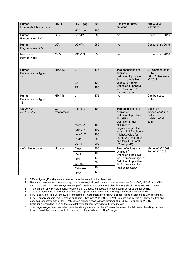| Human<br>Immunodeficiency Virus     | $HIV-1$                         | HIV-1 gag  | 600             | Positive for both<br>antigens                                                                                                                                                                                                                                  | Kranz et al.<br>submitted                                                         |
|-------------------------------------|---------------------------------|------------|-----------------|----------------------------------------------------------------------------------------------------------------------------------------------------------------------------------------------------------------------------------------------------------------|-----------------------------------------------------------------------------------|
|                                     |                                 | HIV-1 env  | 150             |                                                                                                                                                                                                                                                                |                                                                                   |
| Human<br>Polyomavirus BKV           | <b>BKV</b>                      | BK VP1     | 250             | n/a                                                                                                                                                                                                                                                            | Gossai et al. 2016                                                                |
| Human<br>Polyomavirus JCV           | <b>JCV</b>                      | JC VP1     | 250             | n/a                                                                                                                                                                                                                                                            | Gossai et al. 2016                                                                |
| <b>Merkel Cell</b><br>Polyomavirus  | <b>MCV</b>                      | MC VP1     | 250             | n/a                                                                                                                                                                                                                                                            | Gossai et al. 2016                                                                |
| Human<br>Papillomavirus type-<br>16 | <b>HPV 16</b>                   | L1         | $\frac{175}{2}$ | Two definitions are<br>available.<br>Definition I: positive<br>for L1 (cumulative                                                                                                                                                                              | L1: Combes et al.<br>2014<br>E6, E7: Kreimer et<br>al. 2017                       |
|                                     |                                 | E6         | 120             | exposure marker)<br>Definition II: positive                                                                                                                                                                                                                    |                                                                                   |
|                                     |                                 | E7         | 150             | for E6 and/or E7<br>(cancer marker) $5$                                                                                                                                                                                                                        |                                                                                   |
| Human<br>Papillomavirus type-<br>18 | HPV 18                          | L1         | $\frac{175}{2}$ | n/a                                                                                                                                                                                                                                                            | Combes et al.<br>2014                                                             |
| Chlamydia<br>trachomatis            | $\overline{C}$ .<br>trachomatis | momp D     | 100             | Two definitions are<br>available. <sup>6</sup><br>Definition I: positive<br>for pGP3<br>Definition II: (for<br>pGP3 sero-<br>negatives): positive<br>for 2 out of 4 antigens<br>(highest value for<br>momp A or momp D,<br>and tarpD F1, tarpD<br>F2 and porB) | Definition I:<br>Trabert et al. 2018<br>Definition II:<br>Hulstein et al.<br>2018 |
|                                     |                                 | momp A     | 100             |                                                                                                                                                                                                                                                                |                                                                                   |
|                                     |                                 | tarp-DF1   | 100             |                                                                                                                                                                                                                                                                |                                                                                   |
|                                     |                                 | tarp-DF2   | 100             |                                                                                                                                                                                                                                                                |                                                                                   |
|                                     |                                 | PorB       | 80              |                                                                                                                                                                                                                                                                |                                                                                   |
|                                     |                                 | pGP3       | 200             |                                                                                                                                                                                                                                                                |                                                                                   |
| Helicobacter pylori                 | H. pylori                       | CagA       | 400             | Two definitions are<br>available <sup>7</sup> .<br>Definition I: positive<br>for 2 or more antigens<br>Definition II: positive<br>for 2 or more antigens<br>(excluding CagA)                                                                                   | Michel et al. 2009<br>Butt et al. 2019                                            |
|                                     |                                 | VacA       | 100             |                                                                                                                                                                                                                                                                |                                                                                   |
|                                     |                                 | <b>OMP</b> | 170             |                                                                                                                                                                                                                                                                |                                                                                   |
|                                     |                                 | GroEL      | 80              |                                                                                                                                                                                                                                                                |                                                                                   |
|                                     |                                 | Catalase   | 180             |                                                                                                                                                                                                                                                                |                                                                                   |
|                                     |                                 | UreA       | 130             |                                                                                                                                                                                                                                                                |                                                                                   |

1 VZV antigens gE and gI were co-loaded onto the same Luminex bead set.

2 Because there are no universally applicable serological gold standard assays available for HHV-6, HHV-7 and KSHV,

formal validation of these assays was not performed yet. As such, these classifications should be treated with caution.

3 The definition of HBV sero-positivity depends on the research question. Please see Brenner et al b for details.

4 This definition for HCV sero-positivity increases specificity, while an AND/OR algorithm optimizes sensitivity.

5 HPV16 early proteins E6 and E7 are oncoproteins. Sero-positivity for HPV16 oncoproteins is associated with (potentially) HPV16-driven cancers (e.g. Combes et al. 2014, Kreimer et al. 2015). HPV16 E6 sero-positivity is a highly sensitive and specific prospective marker for HPV16-driven oropharyngeal cancer (Kreimer et al. 2017, Holzinger et al. 2017).

6 Definition 1 should be used as the main definition for sero-positivity for C. trachomatis.

7 The CagA antigen was excluded from the data generated in the 2<sup>nd</sup> week because of a lab-based handling mistake. Hence, two definitions are available, one with and one without the CagA antigen.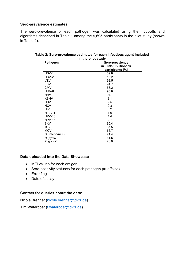#### Sero-prevalence estimates

The sero-prevalence of each pathogen was calculated using the cut-offs and algorithms described in Table 1 among the 9,695 participants in the pilot study (shown in Table 2).

| <b>Pathogen</b> | Sero-prevalence     |  |  |  |
|-----------------|---------------------|--|--|--|
|                 | in 9,695 UK Biobank |  |  |  |
|                 | participants [%]    |  |  |  |
| HSV-1           | 69.8                |  |  |  |
| HSV-2           | 16.2                |  |  |  |
| <b>VZV</b>      | 92.5                |  |  |  |
| EBV             | 94.7                |  |  |  |
| <b>CMV</b>      | 58.2                |  |  |  |
| HHV-6           | 90.8                |  |  |  |
| HHV7            | 94.7                |  |  |  |
| <b>KSHV</b>     | 8.1                 |  |  |  |
| <b>HBV</b>      | 2.5                 |  |  |  |
| <b>HCV</b>      | 0.3                 |  |  |  |
| <b>HIV</b>      | 0.2                 |  |  |  |
| HTLV-1          | 1.6                 |  |  |  |
| $HPV-16$        | 4.4                 |  |  |  |
| $HPV-18$        | 2.7                 |  |  |  |
| <b>BKV</b>      | 95.4                |  |  |  |
| <b>JCV</b>      | 57.5                |  |  |  |
| <b>MCV</b>      | 66.7                |  |  |  |
| C. trachomatis  | 21.4                |  |  |  |
| H. pylori       | 31.5                |  |  |  |
| T. gondii       | 28.0                |  |  |  |

| Table 2: Sero-prevalence estimates for each infectious agent included |
|-----------------------------------------------------------------------|
| in the pilot study                                                    |

# Data uploaded into the Data Showcase

- MFI values for each antigen
- Sero-positivity statuses for each pathogen (true/false)
- Error flag
- Date of assay

#### Contact for queries about the data:

Nicole Brenner (nicole.brenner@dkfz.de)

Tim Waterboer (t.waterboer@dkfz.de)